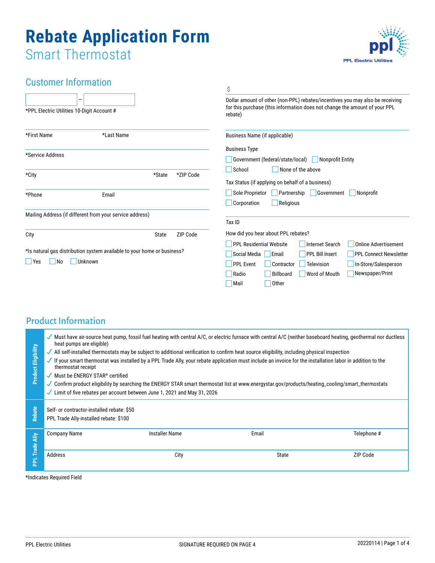# **Rebate Application Form** Smart Thermostat

**PPL Electric Utilities** 

## Customer Information

|                                                                         |                                                          |           | \$                                                                                                                                                                     |  |  |
|-------------------------------------------------------------------------|----------------------------------------------------------|-----------|------------------------------------------------------------------------------------------------------------------------------------------------------------------------|--|--|
| *PPL Electric Utilities 10-Digit Account #                              |                                                          |           | Dollar amount of other (non-PPL) rebates/incentives you may also be receiving<br>for this purchase (this information does not change the amount of your PPL<br>rebate) |  |  |
| *First Name                                                             | *Last Name                                               |           | Business Name (if applicable)                                                                                                                                          |  |  |
| *Service Address                                                        |                                                          |           | <b>Business Type</b>                                                                                                                                                   |  |  |
|                                                                         |                                                          |           | Government (federal/state/local)<br>Nonprofit Entity                                                                                                                   |  |  |
| *City                                                                   | *State                                                   | *ZIP Code | School<br>None of the above<br>Tax Status (if applying on behalf of a business)                                                                                        |  |  |
| *Phone                                                                  | Email                                                    |           | Partnership<br>Sole Proprietor<br>Government<br>Nonprofit<br>Corporation<br>Religious                                                                                  |  |  |
|                                                                         | Mailing Address (if different from your service address) |           | Tax ID                                                                                                                                                                 |  |  |
| City                                                                    | State                                                    | ZIP Code  | How did you hear about PPL rebates?                                                                                                                                    |  |  |
|                                                                         |                                                          |           | Online Advertisement<br><b>PPL Residential Website</b><br>Internet Search                                                                                              |  |  |
| *Is natural gas distribution system available to your home or business? |                                                          |           | Social Media<br>Email<br><b>PPL Bill Insert</b><br><b>PPL Connect Newsletter</b>                                                                                       |  |  |
| Unknown<br>N <sub>o</sub><br><b>Yes</b>                                 |                                                          |           | <b>PPL Event</b><br>Contractor<br>Television<br>In-Store/Salesperson                                                                                                   |  |  |
|                                                                         |                                                          |           | Newspaper/Print<br><b>Billboard</b><br>Word of Mouth<br>Radio                                                                                                          |  |  |
|                                                                         |                                                          |           | Other<br>Mail                                                                                                                                                          |  |  |
|                                                                         |                                                          |           |                                                                                                                                                                        |  |  |

## Product Information

|                                                                                                                                                      | Must have air-source heat pump, fossil fuel heating with central A/C, or electric furnace with central A/C (neither baseboard heating, geothermal nor ductless<br>heat pumps are eligible) |                       |       |             |  |
|------------------------------------------------------------------------------------------------------------------------------------------------------|--------------------------------------------------------------------------------------------------------------------------------------------------------------------------------------------|-----------------------|-------|-------------|--|
|                                                                                                                                                      | All self-installed thermostats may be subject to additional verification to confirm heat source eligibility, including physical inspection<br>✓                                            |                       |       |             |  |
| <b>Product Eligibility</b>                                                                                                                           | If your smart thermostat was installed by a PPL Trade Ally, your rebate application must include an invoice for the installation labor in addition to the<br>thermostat receipt            |                       |       |             |  |
|                                                                                                                                                      | Must be ENERGY STAR® certified                                                                                                                                                             |                       |       |             |  |
| Confirm product eligibility by searching the ENERGY STAR smart thermostat list at www.energystar.gov/products/heating_cooling/smart_thermostats<br>✓ |                                                                                                                                                                                            |                       |       |             |  |
|                                                                                                                                                      | Limit of five rebates per account between June 1, 2021 and May 31, 2026                                                                                                                    |                       |       |             |  |
|                                                                                                                                                      |                                                                                                                                                                                            |                       |       |             |  |
| Rebate                                                                                                                                               | Self- or contractor-installed rebate: \$50                                                                                                                                                 |                       |       |             |  |
| PPL Trade Ally-installed rebate: \$100                                                                                                               |                                                                                                                                                                                            |                       |       |             |  |
|                                                                                                                                                      | <b>Company Name</b>                                                                                                                                                                        | <b>Installer Name</b> | Email | Telephone # |  |
| $\frac{1}{4}$                                                                                                                                        |                                                                                                                                                                                            |                       |       |             |  |
| Trade.                                                                                                                                               |                                                                                                                                                                                            |                       |       |             |  |
|                                                                                                                                                      | Address                                                                                                                                                                                    | City                  | State | ZIP Code    |  |
| 定                                                                                                                                                    |                                                                                                                                                                                            |                       |       |             |  |
|                                                                                                                                                      | *Indicates Required Field                                                                                                                                                                  |                       |       |             |  |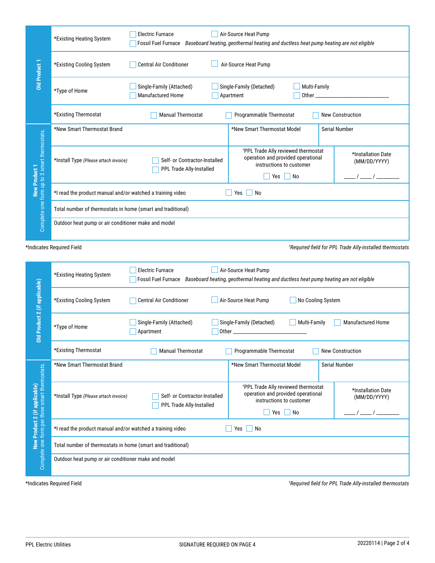|                                                                                                   | <b>Electric Furnace</b><br>Air-Source Heat Pump<br>*Existing Heating System<br><b>Fossil Fuel Furnace</b><br>Baseboard heating, geothermal heating and ductless heat pump heating are not eligible                                               |                               |                                                                                                                   |                                    |  |
|---------------------------------------------------------------------------------------------------|--------------------------------------------------------------------------------------------------------------------------------------------------------------------------------------------------------------------------------------------------|-------------------------------|-------------------------------------------------------------------------------------------------------------------|------------------------------------|--|
| Old Product 1                                                                                     | Air-Source Heat Pump<br>*Existing Cooling System<br><b>Central Air Conditioner</b>                                                                                                                                                               |                               |                                                                                                                   |                                    |  |
|                                                                                                   | Single-Family (Attached)<br>Single-Family (Detached)<br>Multi-Family<br>*Type of Home<br><b>Manufactured Home</b><br>Other the control of the control of the control of the control of the control of the control of the control of<br>Apartment |                               |                                                                                                                   |                                    |  |
|                                                                                                   | *Existing Thermostat<br><b>Manual Thermostat</b><br>Programmable Thermostat<br><b>New Construction</b>                                                                                                                                           |                               |                                                                                                                   |                                    |  |
| form up to 3 smart thermostats.                                                                   | *New Smart Thermostat Brand                                                                                                                                                                                                                      |                               | *New Smart Thermostat Model                                                                                       | <b>Serial Number</b>               |  |
|                                                                                                   | *Install Type (Please attach invoice)<br>PPL Trade Ally-Installed                                                                                                                                                                                | Self- or Contractor-Installed | <sup>+</sup> PPL Trade Ally reviewed thermostat<br>operation and provided operational<br>instructions to customer | *Installation Date<br>(MM/DD/YYYY) |  |
|                                                                                                   |                                                                                                                                                                                                                                                  |                               | Yes<br>  No                                                                                                       |                                    |  |
| <b>New Product 1</b>                                                                              | *I read the product manual and/or watched a training video<br>Yes<br>No                                                                                                                                                                          |                               |                                                                                                                   |                                    |  |
|                                                                                                   | Total number of thermostats in home (smart and traditional)                                                                                                                                                                                      |                               |                                                                                                                   |                                    |  |
| Complete one                                                                                      | Outdoor heat pump or air conditioner make and model                                                                                                                                                                                              |                               |                                                                                                                   |                                    |  |
| *Indicates Required Field<br><sup>†</sup> Required field for PPL Trade Ally-installed thermostats |                                                                                                                                                                                                                                                  |                               |                                                                                                                   |                                    |  |

| <b>Old Product 1</b>                                                            | *Existing Cooling System                                                                                                | Central Air Conditioner                                                                                                                                      | Air-Source Heat Pump                                                                                                           |                                                                  |  |
|---------------------------------------------------------------------------------|-------------------------------------------------------------------------------------------------------------------------|--------------------------------------------------------------------------------------------------------------------------------------------------------------|--------------------------------------------------------------------------------------------------------------------------------|------------------------------------------------------------------|--|
|                                                                                 | *Type of Home                                                                                                           | Single-Family (Attached)<br>Manufactured Home                                                                                                                | Single-Family (Detached)<br>Multi-Family<br>Apartment                                                                          |                                                                  |  |
|                                                                                 | *Existing Thermostat                                                                                                    | <b>Manual Thermostat</b>                                                                                                                                     | Programmable Thermostat                                                                                                        | <b>New Construction</b>                                          |  |
| Complete one form up to 3 smart thermostats.<br><b>New Product 1</b>            | *New Smart Thermostat Brand                                                                                             |                                                                                                                                                              | *New Smart Thermostat Model                                                                                                    | Serial Number                                                    |  |
|                                                                                 | *Install Type (Please attach invoice)                                                                                   | Self- or Contractor-Installed<br>PPL Trade Ally-Installed                                                                                                    | *PPL Trade Ally reviewed thermostat<br>operation and provided operational<br>instructions to customer<br>Yes<br>$\vert$ No     | *Installation Date<br>(MM/DD/YYYY)<br>_____ / _____ / __________ |  |
|                                                                                 | *I read the product manual and/or watched a training video                                                              |                                                                                                                                                              | $Yes \mid No$                                                                                                                  |                                                                  |  |
|                                                                                 | Total number of thermostats in home (smart and traditional)                                                             |                                                                                                                                                              |                                                                                                                                |                                                                  |  |
|                                                                                 |                                                                                                                         | Outdoor heat pump or air conditioner make and model                                                                                                          |                                                                                                                                |                                                                  |  |
|                                                                                 | *Indicates Required Field                                                                                               |                                                                                                                                                              |                                                                                                                                | *Required field for PPL Trade Ally-installed thermostats         |  |
| Old Product 2 (if applicable)                                                   | *Existing Heating System                                                                                                | Air-Source Heat Pump<br><b>Electric Furnace</b><br>Fossil Fuel Furnace Baseboard heating, geothermal heating and ductless heat pump heating are not eligible |                                                                                                                                |                                                                  |  |
|                                                                                 | No Cooling System<br>*Existing Cooling System<br><b>Central Air Conditioner</b><br>Air-Source Heat Pump                 |                                                                                                                                                              |                                                                                                                                |                                                                  |  |
|                                                                                 | Multi-Family<br>Single-Family (Attached)<br>Single-Family (Detached)<br>Manufactured Home<br>*Type of Home<br>Apartment |                                                                                                                                                              |                                                                                                                                |                                                                  |  |
|                                                                                 | *Existing Thermostat                                                                                                    | <b>Manual Thermostat</b>                                                                                                                                     | Programmable Thermostat                                                                                                        | <b>New Construction</b>                                          |  |
| iostats.                                                                        | *New Smart Thermostat Brand                                                                                             |                                                                                                                                                              | *New Smart Thermostat Model                                                                                                    | Serial Number                                                    |  |
| <b>New Product 2 (if applicable)</b><br>Complete one form per three smart therm | *Install Type (Please attach invoice)                                                                                   | Self- or Contractor-Installed<br>PPL Trade Ally-Installed                                                                                                    | <sup>†</sup> PPL Trade Ally reviewed thermostat<br>operation and provided operational<br>instructions to customer<br>Yes<br>No | *Installation Date<br>(MM/DD/YYYY)<br>$/$ ____ $/$ __            |  |
|                                                                                 | *I read the product manual and/or watched a training video<br>$Yes \tNo$                                                |                                                                                                                                                              |                                                                                                                                |                                                                  |  |
|                                                                                 | Total number of thermostats in home (smart and traditional)                                                             |                                                                                                                                                              |                                                                                                                                |                                                                  |  |
|                                                                                 | Outdoor heat pump or air conditioner make and model                                                                     |                                                                                                                                                              |                                                                                                                                |                                                                  |  |
|                                                                                 | *Indicates Required Field                                                                                               |                                                                                                                                                              |                                                                                                                                | *Required field for PPL Trade Ally-installed thermostats         |  |
|                                                                                 |                                                                                                                         |                                                                                                                                                              |                                                                                                                                |                                                                  |  |
| <b>PPL Electric Utilities</b>                                                   |                                                                                                                         | SIGNATURE REQUIRED ON PAGE 4                                                                                                                                 |                                                                                                                                | 20220114   Page 2 of 4                                           |  |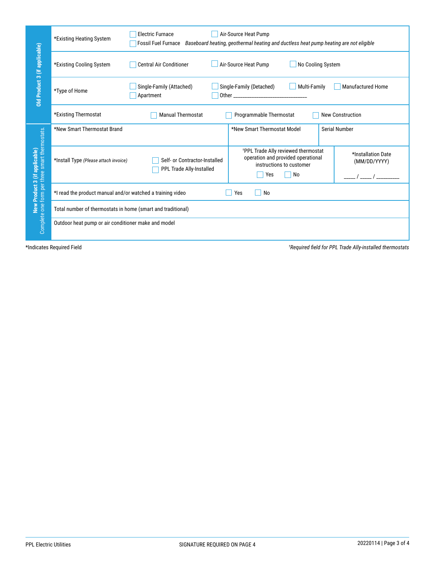|                                                                                        | *Existing Heating System                                    | <b>Electric Furnace</b>                                   | Air-Source Heat Pump<br>Fossil Fuel Furnace Baseboard heating, geothermal heating and ductless heat pump heating are not eligible |                                                          |
|----------------------------------------------------------------------------------------|-------------------------------------------------------------|-----------------------------------------------------------|-----------------------------------------------------------------------------------------------------------------------------------|----------------------------------------------------------|
|                                                                                        | *Existing Cooling System                                    | Central Air Conditioner                                   | Air-Source Heat Pump<br>No Cooling System                                                                                         |                                                          |
| Old Product 3 (if applicable)                                                          | *Type of Home                                               | Single-Family (Attached)<br>Apartment                     | Single-Family (Detached)<br>Multi-Family                                                                                          | Manufactured Home                                        |
|                                                                                        | *Existing Thermostat                                        | <b>Manual Thermostat</b>                                  | Programmable Thermostat                                                                                                           | New Construction                                         |
|                                                                                        | *New Smart Thermostat Brand                                 |                                                           | *New Smart Thermostat Model                                                                                                       | Serial Number                                            |
| <b>New Product 3 (if applicable)</b><br>Complete one form per three smart thermostats. | *Install Type (Please attach invoice)                       | Self- or Contractor-Installed<br>PPL Trade Ally-Installed | <sup>†</sup> PPL Trade Ally reviewed thermostat<br>operation and provided operational<br>instructions to customer<br>Yes<br>No    | *Installation Date<br>(MM/DD/YYYY)<br>$\sqrt{1}$         |
|                                                                                        | *I read the product manual and/or watched a training video  |                                                           | Yes<br>$\Box$ No                                                                                                                  |                                                          |
|                                                                                        | Total number of thermostats in home (smart and traditional) |                                                           |                                                                                                                                   |                                                          |
|                                                                                        | Outdoor heat pump or air conditioner make and model         |                                                           |                                                                                                                                   |                                                          |
|                                                                                        | *Indicates Required Field                                   |                                                           |                                                                                                                                   | *Required field for PPL Trade Ally-installed thermostats |
| <b>PPL Electric Utilities</b>                                                          |                                                             | SIGNATURE REQUIRED ON PAGE 4                              |                                                                                                                                   | 20220114   Page 3 of 4                                   |